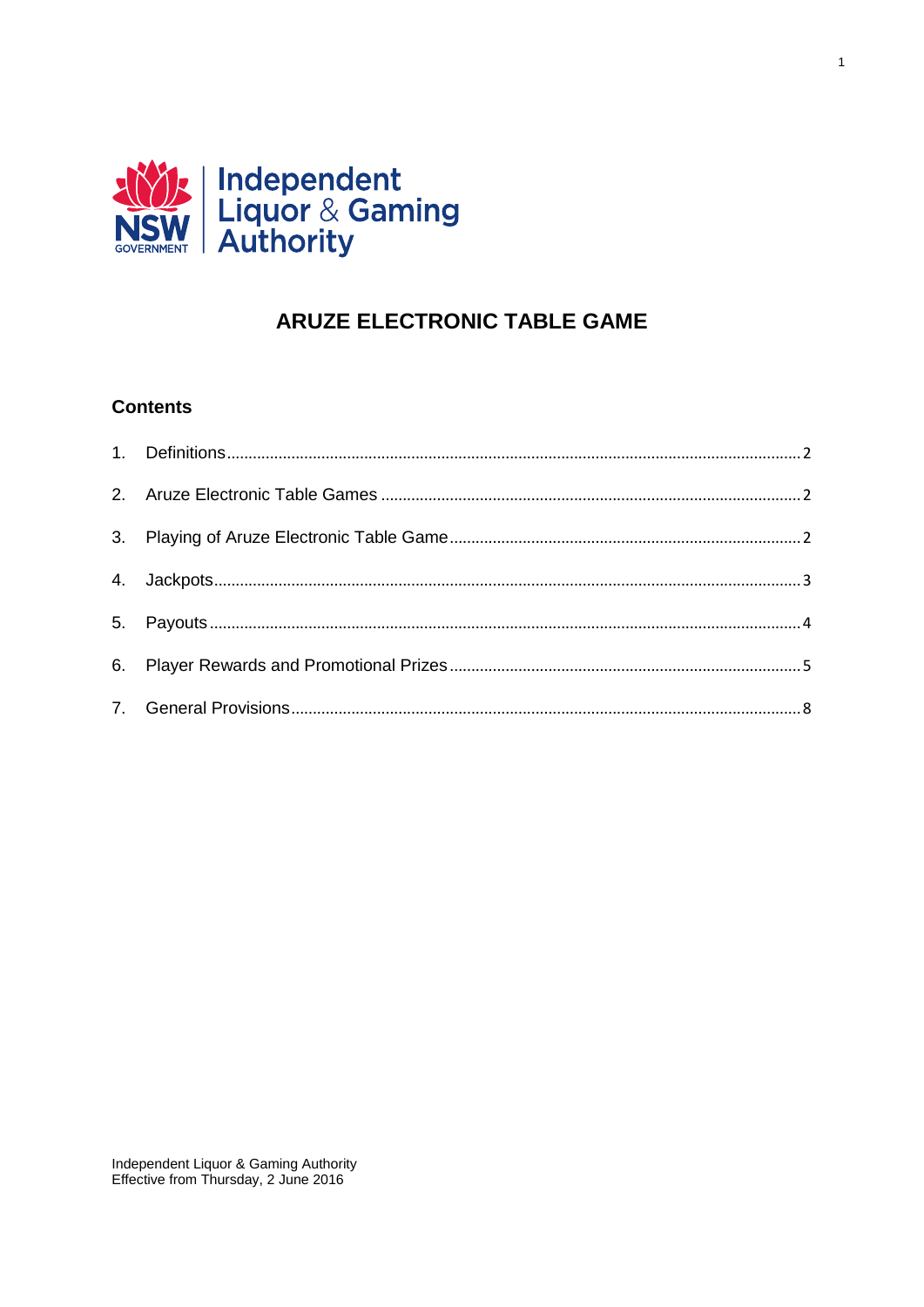

# **ARUZE ELECTRONIC TABLE GAME**

 $\overline{1}$ 

# **Contents**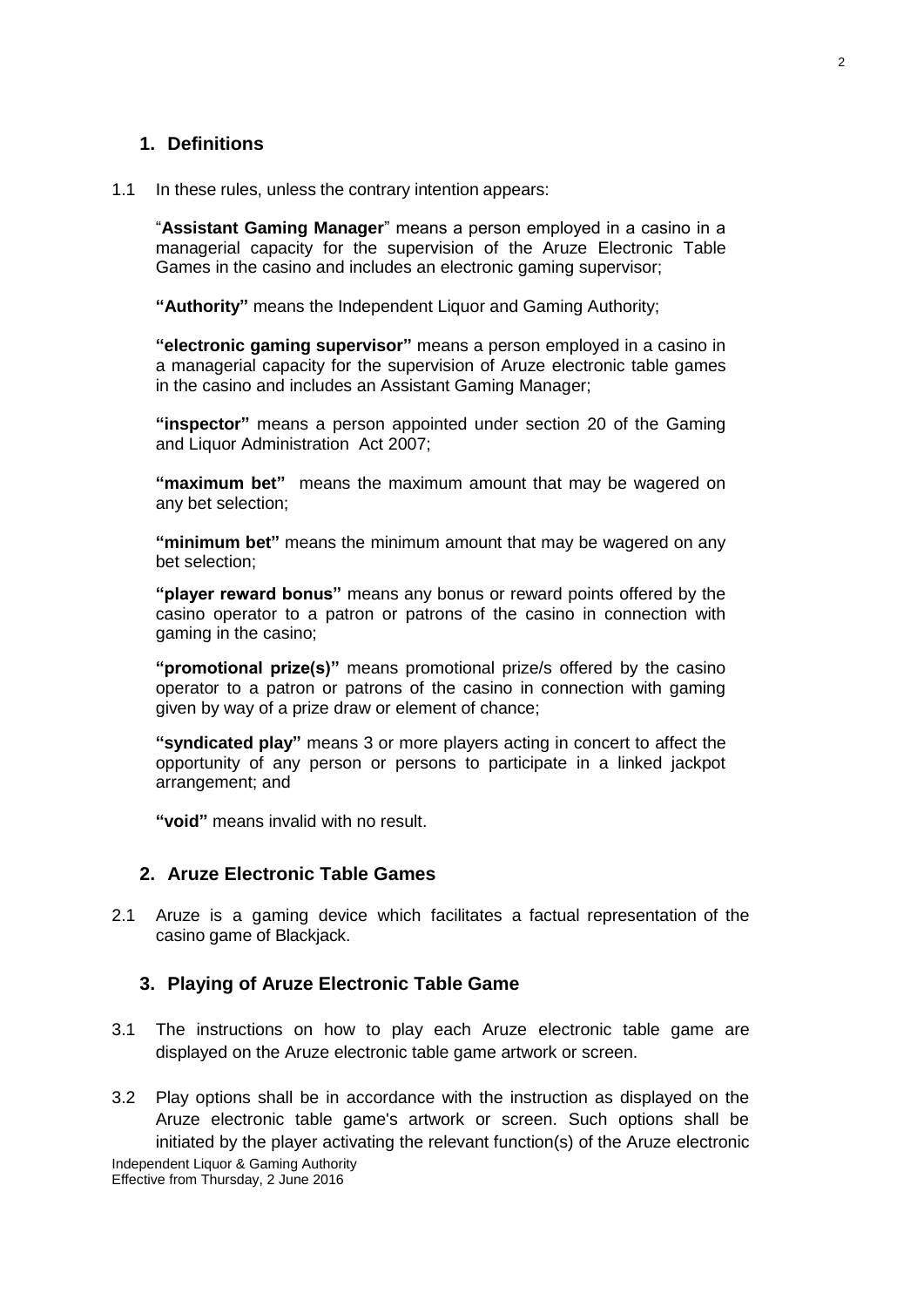### <span id="page-1-0"></span>**1. Definitions**

#### 1.1 In these rules, unless the contrary intention appears:

"**Assistant Gaming Manager**" means a person employed in a casino in a managerial capacity for the supervision of the Aruze Electronic Table Games in the casino and includes an electronic gaming supervisor;

**"Authority"** means the Independent Liquor and Gaming Authority;

**"electronic gaming supervisor"** means a person employed in a casino in a managerial capacity for the supervision of Aruze electronic table games in the casino and includes an Assistant Gaming Manager;

**"inspector"** means a person appointed under section 20 of the Gaming and Liquor Administration Act 2007;

**"maximum bet"** means the maximum amount that may be wagered on any bet selection;

**"minimum bet"** means the minimum amount that may be wagered on any bet selection;

**"player reward bonus"** means any bonus or reward points offered by the casino operator to a patron or patrons of the casino in connection with gaming in the casino;

**"promotional prize(s)"** means promotional prize/s offered by the casino operator to a patron or patrons of the casino in connection with gaming given by way of a prize draw or element of chance;

**"syndicated play"** means 3 or more players acting in concert to affect the opportunity of any person or persons to participate in a linked jackpot arrangement; and

**"void"** means invalid with no result.

# <span id="page-1-1"></span>**2. Aruze Electronic Table Games**

2.1 Aruze is a gaming device which facilitates a factual representation of the casino game of Blackjack.

#### <span id="page-1-2"></span>**3. Playing of Aruze Electronic Table Game**

- 3.1 The instructions on how to play each Aruze electronic table game are displayed on the Aruze electronic table game artwork or screen.
- Independent Liquor & Gaming Authority 3.2 Play options shall be in accordance with the instruction as displayed on the Aruze electronic table game's artwork or screen. Such options shall be initiated by the player activating the relevant function(s) of the Aruze electronic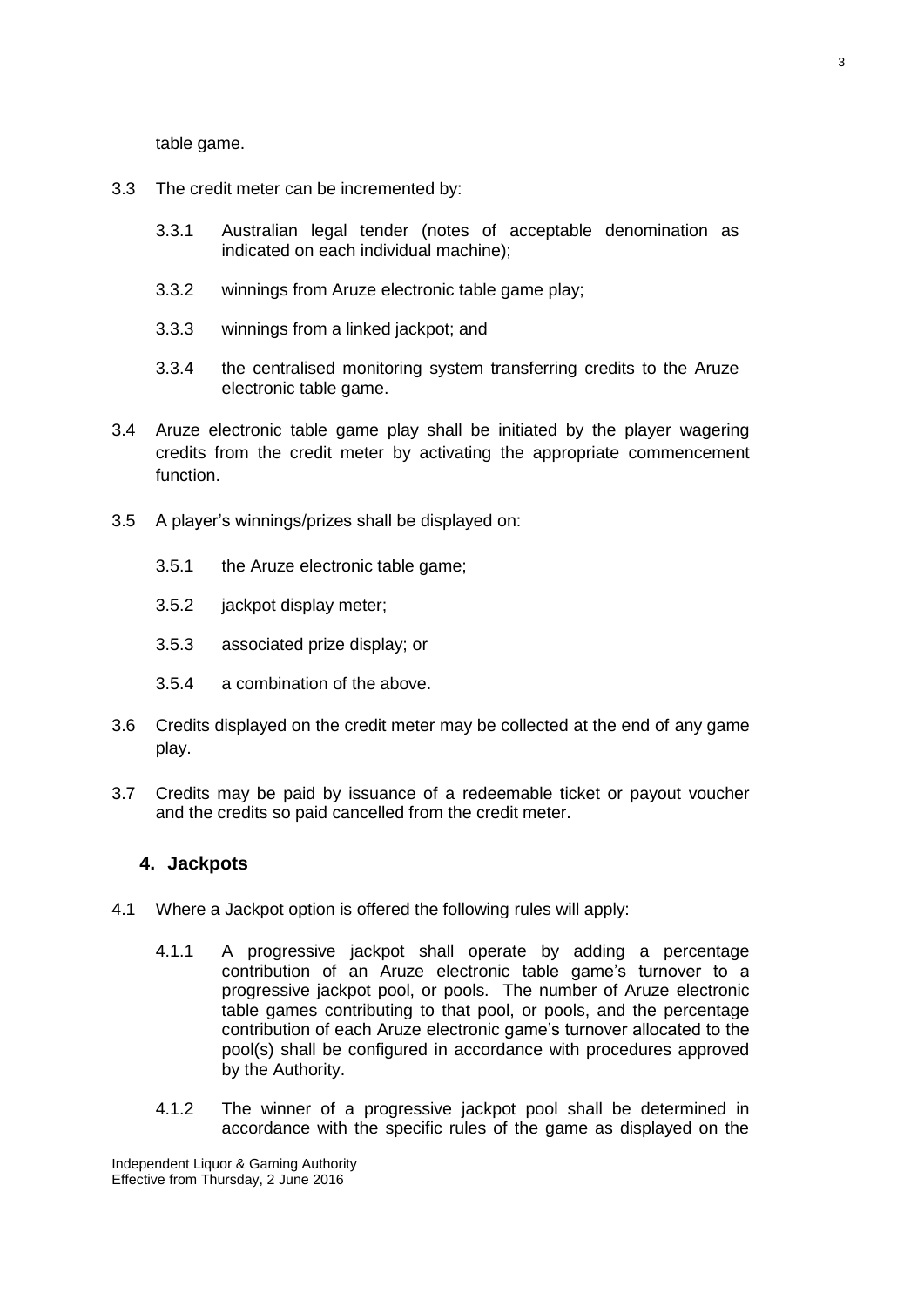table game.

- 3.3 The credit meter can be incremented by:
	- 3.3.1 Australian legal tender (notes of acceptable denomination as indicated on each individual machine);
	- 3.3.2 winnings from Aruze electronic table game play;
	- 3.3.3 winnings from a linked jackpot; and
	- 3.3.4 the centralised monitoring system transferring credits to the Aruze electronic table game.
- 3.4 Aruze electronic table game play shall be initiated by the player wagering credits from the credit meter by activating the appropriate commencement function.
- 3.5 A player's winnings/prizes shall be displayed on:
	- 3.5.1 the Aruze electronic table game;
	- 3.5.2 jackpot display meter;
	- 3.5.3 associated prize display; or
	- 3.5.4 a combination of the above.
- 3.6 Credits displayed on the credit meter may be collected at the end of any game play.
- 3.7 Credits may be paid by issuance of a redeemable ticket or payout voucher and the credits so paid cancelled from the credit meter.

#### <span id="page-2-0"></span>**4. Jackpots**

- 4.1 Where a Jackpot option is offered the following rules will apply:
	- 4.1.1 A progressive jackpot shall operate by adding a percentage contribution of an Aruze electronic table game's turnover to a progressive jackpot pool, or pools. The number of Aruze electronic table games contributing to that pool, or pools, and the percentage contribution of each Aruze electronic game's turnover allocated to the pool(s) shall be configured in accordance with procedures approved by the Authority.
	- 4.1.2 The winner of a progressive jackpot pool shall be determined in accordance with the specific rules of the game as displayed on the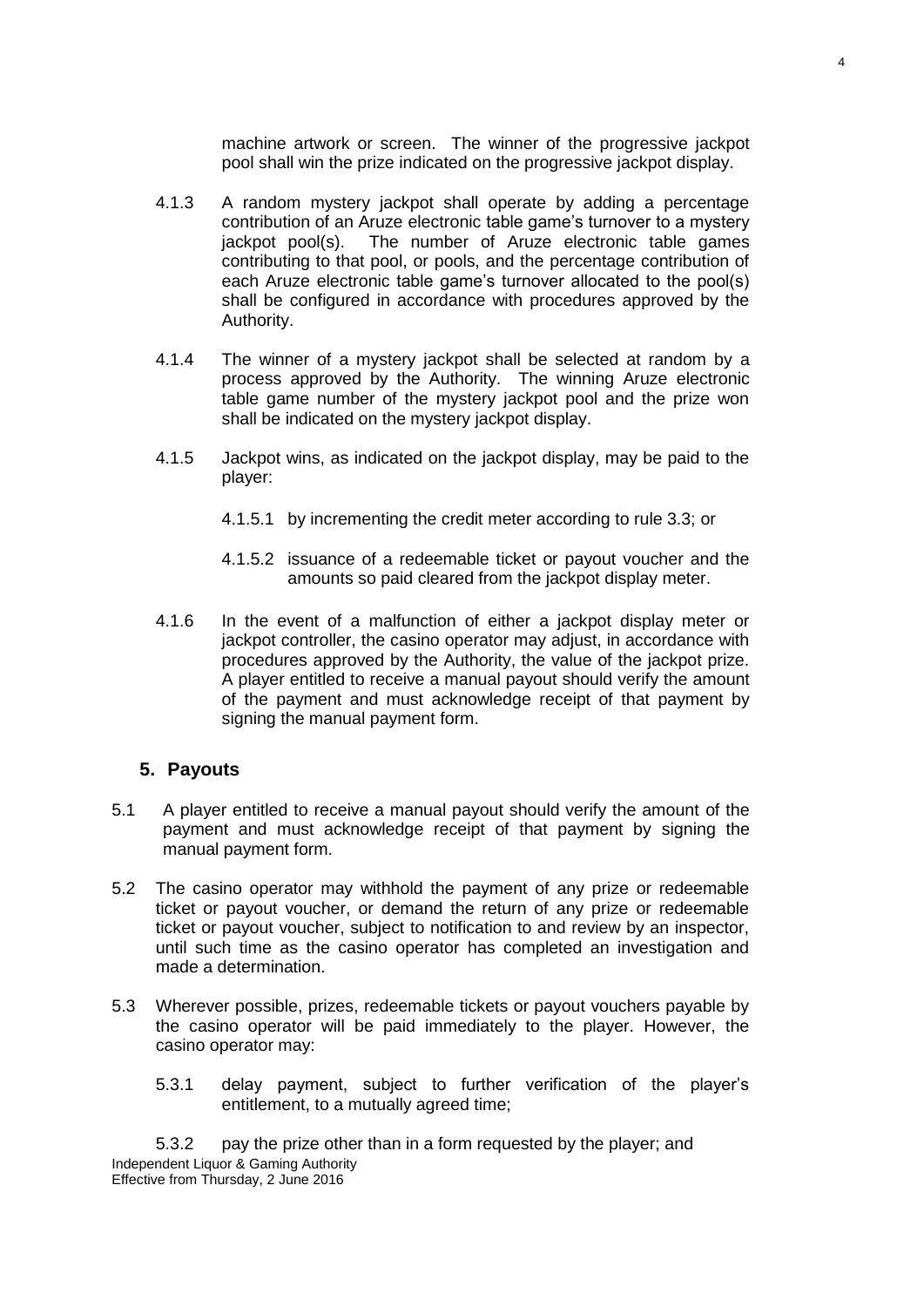machine artwork or screen. The winner of the progressive jackpot pool shall win the prize indicated on the progressive jackpot display.

- 4.1.3 A random mystery jackpot shall operate by adding a percentage contribution of an Aruze electronic table game's turnover to a mystery jackpot pool(s). The number of Aruze electronic table games contributing to that pool, or pools, and the percentage contribution of each Aruze electronic table game's turnover allocated to the pool(s) shall be configured in accordance with procedures approved by the Authority.
- 4.1.4 The winner of a mystery jackpot shall be selected at random by a process approved by the Authority. The winning Aruze electronic table game number of the mystery jackpot pool and the prize won shall be indicated on the mystery jackpot display.
- 4.1.5 Jackpot wins, as indicated on the jackpot display, may be paid to the player:
	- 4.1.5.1 by incrementing the credit meter according to rule 3.3; or
	- 4.1.5.2 issuance of a redeemable ticket or payout voucher and the amounts so paid cleared from the jackpot display meter.
- 4.1.6 In the event of a malfunction of either a jackpot display meter or jackpot controller, the casino operator may adjust, in accordance with procedures approved by the Authority, the value of the jackpot prize. A player entitled to receive a manual payout should verify the amount of the payment and must acknowledge receipt of that payment by signing the manual payment form.

#### <span id="page-3-0"></span>**5. Payouts**

- 5.1 A player entitled to receive a manual payout should verify the amount of the payment and must acknowledge receipt of that payment by signing the manual payment form.
- 5.2 The casino operator may withhold the payment of any prize or redeemable ticket or payout voucher, or demand the return of any prize or redeemable ticket or payout voucher, subject to notification to and review by an inspector, until such time as the casino operator has completed an investigation and made a determination.
- 5.3 Wherever possible, prizes, redeemable tickets or payout vouchers payable by the casino operator will be paid immediately to the player. However, the casino operator may:
	- 5.3.1 delay payment, subject to further verification of the player's entitlement, to a mutually agreed time;

Independent Liquor & Gaming Authority Effective from Thursday, 2 June 2016 5.3.2 pay the prize other than in a form requested by the player; and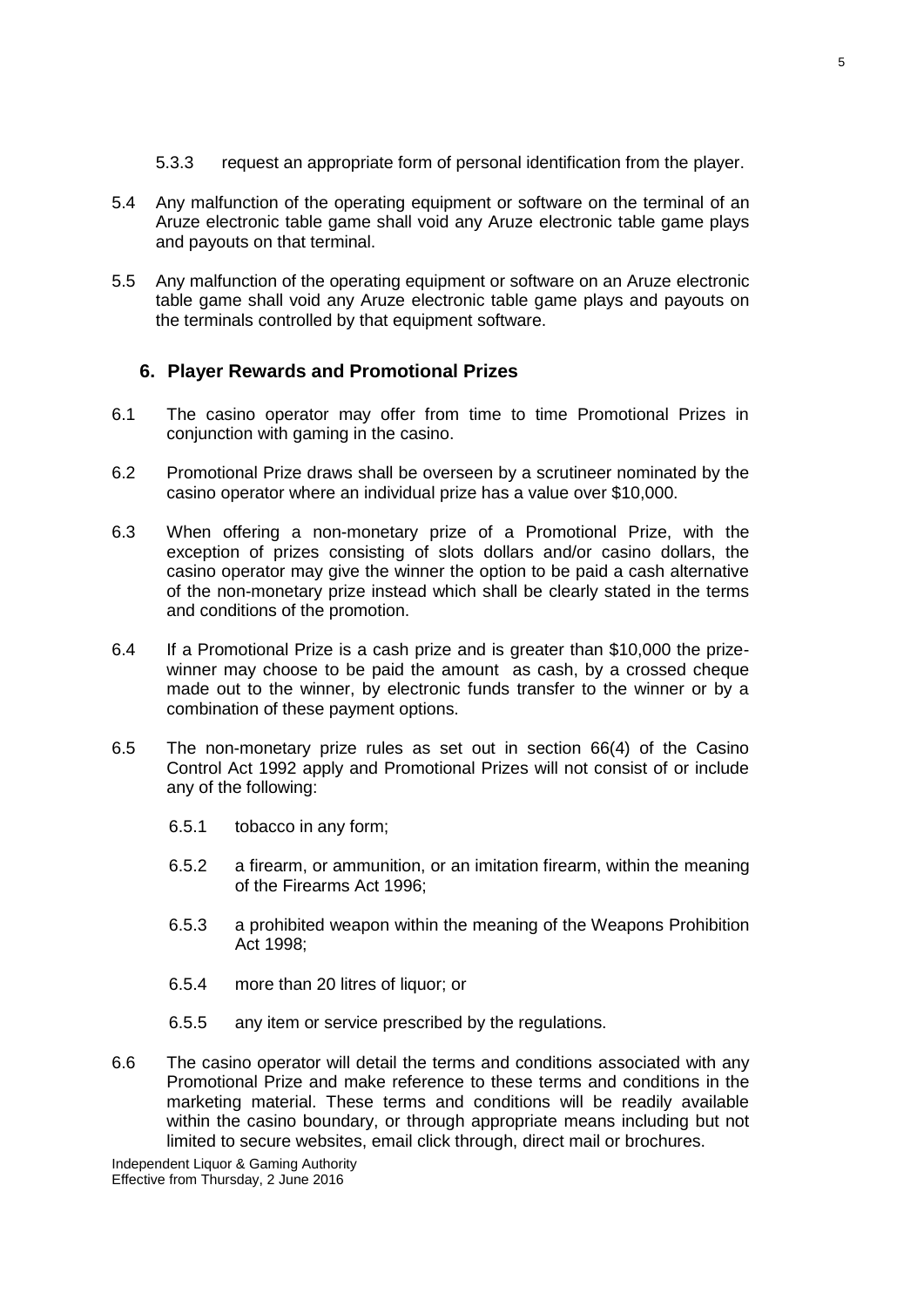- 5.3.3 request an appropriate form of personal identification from the player.
- 5.4 Any malfunction of the operating equipment or software on the terminal of an Aruze electronic table game shall void any Aruze electronic table game plays and payouts on that terminal.
- 5.5 Any malfunction of the operating equipment or software on an Aruze electronic table game shall void any Aruze electronic table game plays and payouts on the terminals controlled by that equipment software.

# <span id="page-4-0"></span>**6. Player Rewards and Promotional Prizes**

- 6.1 The casino operator may offer from time to time Promotional Prizes in conjunction with gaming in the casino.
- 6.2 Promotional Prize draws shall be overseen by a scrutineer nominated by the casino operator where an individual prize has a value over \$10,000.
- 6.3 When offering a non-monetary prize of a Promotional Prize, with the exception of prizes consisting of slots dollars and/or casino dollars, the casino operator may give the winner the option to be paid a cash alternative of the non-monetary prize instead which shall be clearly stated in the terms and conditions of the promotion.
- 6.4 If a Promotional Prize is a cash prize and is greater than \$10,000 the prizewinner may choose to be paid the amount as cash, by a crossed cheque made out to the winner, by electronic funds transfer to the winner or by a combination of these payment options.
- 6.5 The non-monetary prize rules as set out in section 66(4) of the Casino Control Act 1992 apply and Promotional Prizes will not consist of or include any of the following:
	- 6.5.1 tobacco in any form;
	- 6.5.2 a firearm, or ammunition, or an imitation firearm, within the meaning of the Firearms Act 1996;
	- 6.5.3 a prohibited weapon within the meaning of the Weapons Prohibition Act 1998;
	- 6.5.4 more than 20 litres of liquor; or
	- 6.5.5 any item or service prescribed by the regulations.
- 6.6 The casino operator will detail the terms and conditions associated with any Promotional Prize and make reference to these terms and conditions in the marketing material. These terms and conditions will be readily available within the casino boundary, or through appropriate means including but not limited to secure websites, email click through, direct mail or brochures.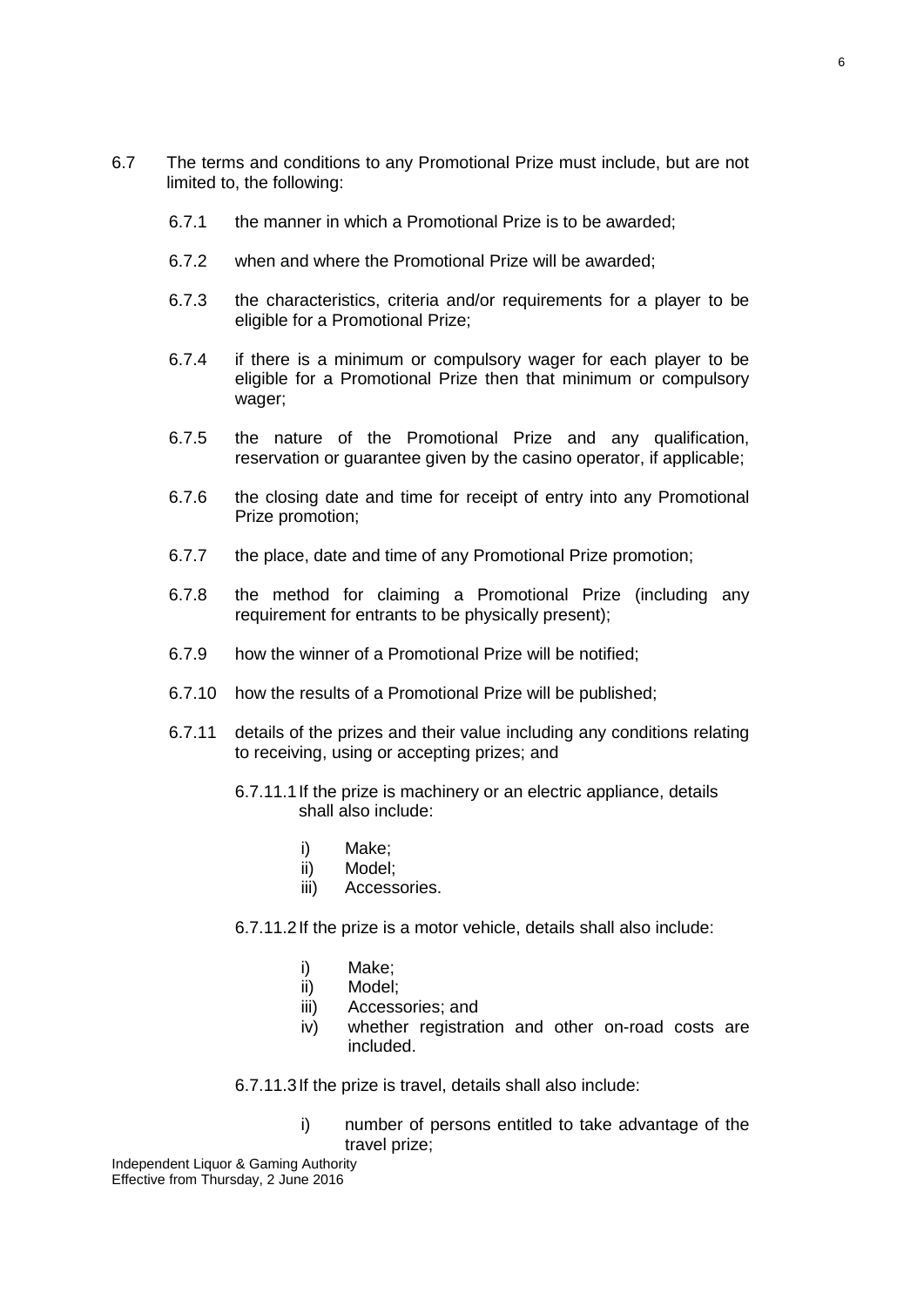- 6.7 The terms and conditions to any Promotional Prize must include, but are not limited to, the following:
	- 6.7.1 the manner in which a Promotional Prize is to be awarded;
	- 6.7.2 when and where the Promotional Prize will be awarded;
	- 6.7.3 the characteristics, criteria and/or requirements for a player to be eligible for a Promotional Prize;
	- 6.7.4 if there is a minimum or compulsory wager for each player to be eligible for a Promotional Prize then that minimum or compulsory wager;
	- 6.7.5 the nature of the Promotional Prize and any qualification, reservation or guarantee given by the casino operator, if applicable;
	- 6.7.6 the closing date and time for receipt of entry into any Promotional Prize promotion;
	- 6.7.7 the place, date and time of any Promotional Prize promotion;
	- 6.7.8 the method for claiming a Promotional Prize (including any requirement for entrants to be physically present);
	- 6.7.9 how the winner of a Promotional Prize will be notified;
	- 6.7.10 how the results of a Promotional Prize will be published;
	- 6.7.11 details of the prizes and their value including any conditions relating to receiving, using or accepting prizes; and
		- 6.7.11.1If the prize is machinery or an electric appliance, details shall also include:
			- i) Make;
			- ii) Model;
			- iii) Accessories.
		- 6.7.11.2If the prize is a motor vehicle, details shall also include:
			- i) Make;
			- ii) Model;
			- iii) Accessories; and
			- iv) whether registration and other on-road costs are included.
		- 6.7.11.3If the prize is travel, details shall also include:
			- i) number of persons entitled to take advantage of the travel prize;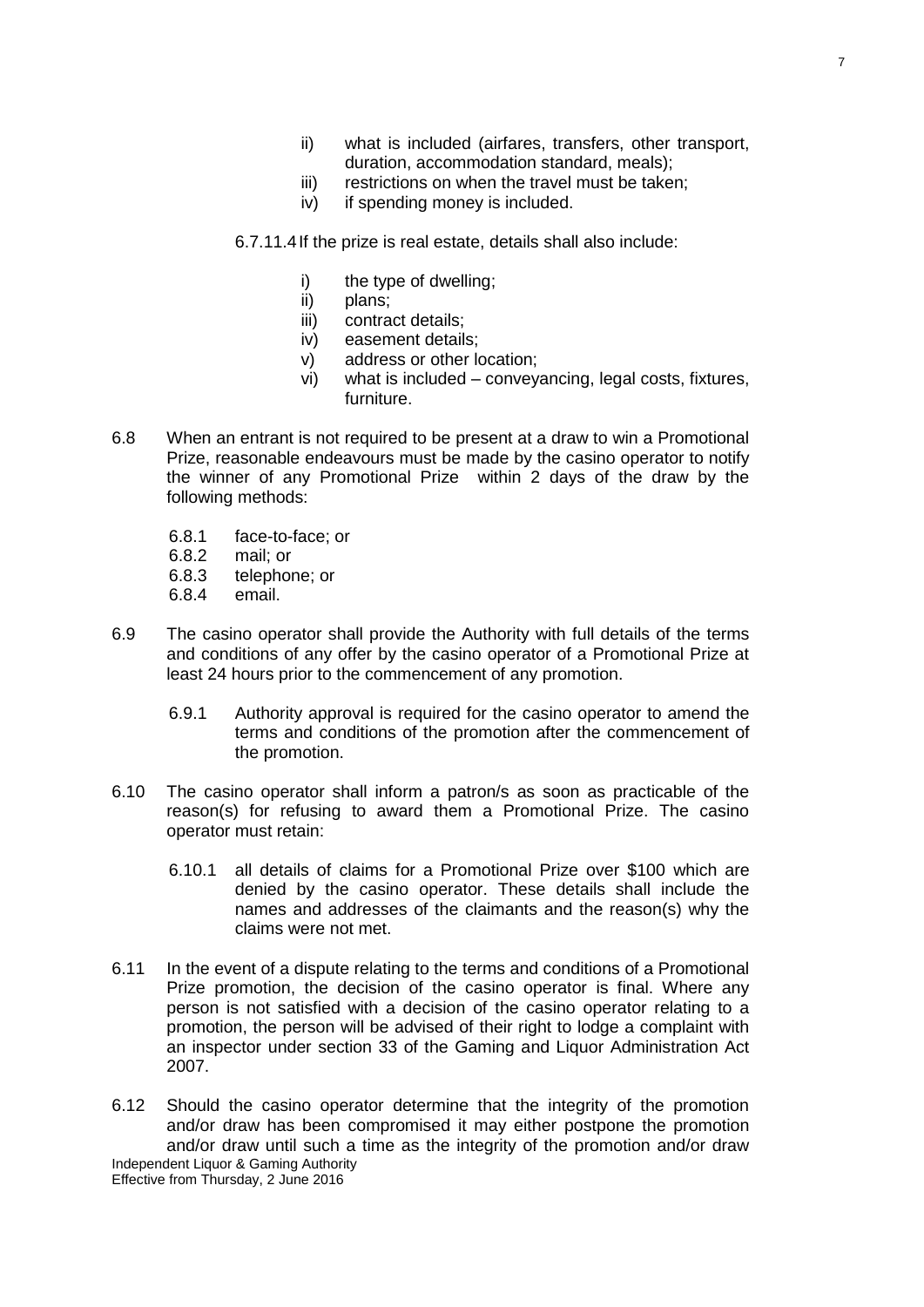- ii) what is included (airfares, transfers, other transport, duration, accommodation standard, meals);
- iii) restrictions on when the travel must be taken:
- iv) if spending money is included.
- 6.7.11.4If the prize is real estate, details shall also include:
	- i) the type of dwelling;
	- ii) plans;
	- iii) contract details;
	- iv) easement details;
	- v) address or other location;
	- vi) what is included conveyancing, legal costs, fixtures, furniture.
- 6.8 When an entrant is not required to be present at a draw to win a Promotional Prize, reasonable endeavours must be made by the casino operator to notify the winner of any Promotional Prize within 2 days of the draw by the following methods:
	- 6.8.1 face-to-face; or
	- 6.8.2 mail; or
	- 6.8.3 telephone; or
	- 6.8.4 email.
- 6.9 The casino operator shall provide the Authority with full details of the terms and conditions of any offer by the casino operator of a Promotional Prize at least 24 hours prior to the commencement of any promotion.
	- 6.9.1 Authority approval is required for the casino operator to amend the terms and conditions of the promotion after the commencement of the promotion.
- 6.10 The casino operator shall inform a patron/s as soon as practicable of the reason(s) for refusing to award them a Promotional Prize. The casino operator must retain:
	- 6.10.1 all details of claims for a Promotional Prize over \$100 which are denied by the casino operator. These details shall include the names and addresses of the claimants and the reason(s) why the claims were not met.
- 6.11 In the event of a dispute relating to the terms and conditions of a Promotional Prize promotion, the decision of the casino operator is final. Where any person is not satisfied with a decision of the casino operator relating to a promotion, the person will be advised of their right to lodge a complaint with an inspector under section 33 of the Gaming and Liquor Administration Act 2007.
- Independent Liquor & Gaming Authority Effective from Thursday, 2 June 2016 6.12 Should the casino operator determine that the integrity of the promotion and/or draw has been compromised it may either postpone the promotion and/or draw until such a time as the integrity of the promotion and/or draw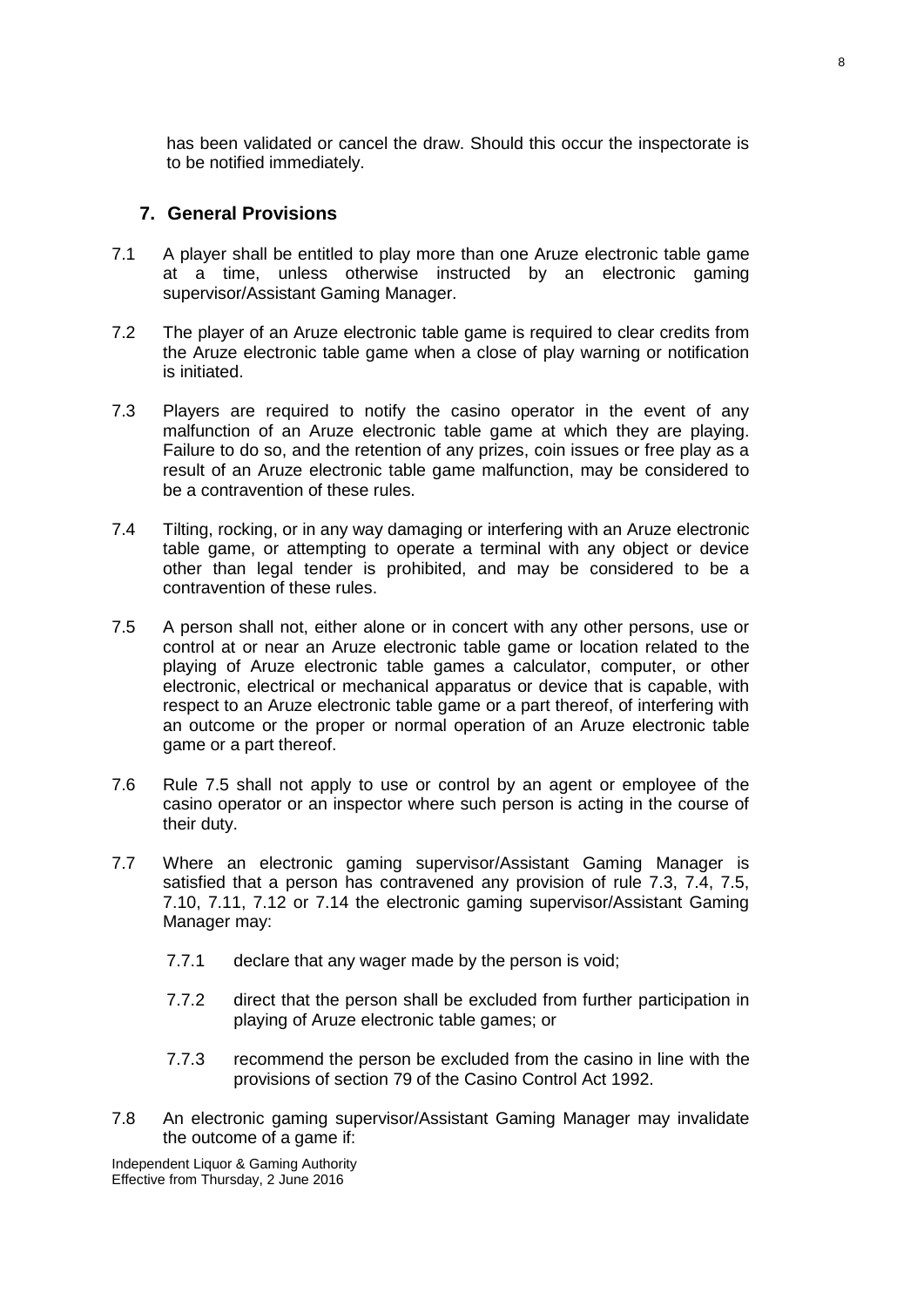has been validated or cancel the draw. Should this occur the inspectorate is to be notified immediately.

#### <span id="page-7-0"></span>**7. General Provisions**

- 7.1 A player shall be entitled to play more than one Aruze electronic table game at a time, unless otherwise instructed by an electronic gaming supervisor/Assistant Gaming Manager.
- 7.2 The player of an Aruze electronic table game is required to clear credits from the Aruze electronic table game when a close of play warning or notification is initiated.
- 7.3 Players are required to notify the casino operator in the event of any malfunction of an Aruze electronic table game at which they are playing. Failure to do so, and the retention of any prizes, coin issues or free play as a result of an Aruze electronic table game malfunction, may be considered to be a contravention of these rules.
- 7.4 Tilting, rocking, or in any way damaging or interfering with an Aruze electronic table game, or attempting to operate a terminal with any object or device other than legal tender is prohibited, and may be considered to be a contravention of these rules.
- 7.5 A person shall not, either alone or in concert with any other persons, use or control at or near an Aruze electronic table game or location related to the playing of Aruze electronic table games a calculator, computer, or other electronic, electrical or mechanical apparatus or device that is capable, with respect to an Aruze electronic table game or a part thereof, of interfering with an outcome or the proper or normal operation of an Aruze electronic table game or a part thereof.
- 7.6 Rule 7.5 shall not apply to use or control by an agent or employee of the casino operator or an inspector where such person is acting in the course of their duty.
- 7.7 Where an electronic gaming supervisor/Assistant Gaming Manager is satisfied that a person has contravened any provision of rule 7.3, 7.4, 7.5, 7.10, 7.11, 7.12 or 7.14 the electronic gaming supervisor/Assistant Gaming Manager may:
	- 7.7.1 declare that any wager made by the person is void;
	- 7.7.2 direct that the person shall be excluded from further participation in playing of Aruze electronic table games; or
	- 7.7.3 recommend the person be excluded from the casino in line with the provisions of section 79 of the Casino Control Act 1992.
- 7.8 An electronic gaming supervisor/Assistant Gaming Manager may invalidate the outcome of a game if:

Independent Liquor & Gaming Authority Effective from Thursday, 2 June 2016